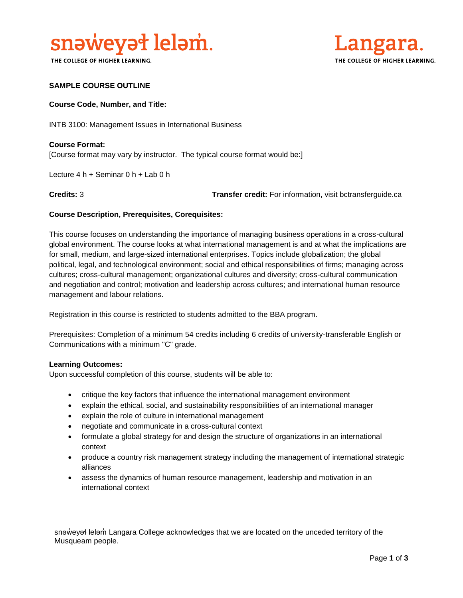

THE COLLEGE OF HIGHER LEARNING.



# **SAMPLE COURSE OUTLINE**

### **Course Code, Number, and Title:**

INTB 3100: Management Issues in International Business

**Course Format:** [Course format may vary by instructor. The typical course format would be:]

Lecture 4 h + Seminar 0 h + Lab 0 h

**Credits:** 3 **Transfer credit:** For information, visit bctransferguide.ca

### **Course Description, Prerequisites, Corequisites:**

This course focuses on understanding the importance of managing business operations in a cross-cultural global environment. The course looks at what international management is and at what the implications are for small, medium, and large-sized international enterprises. Topics include globalization; the global political, legal, and technological environment; social and ethical responsibilities of firms; managing across cultures; cross-cultural management; organizational cultures and diversity; cross-cultural communication and negotiation and control; motivation and leadership across cultures; and international human resource management and labour relations.

Registration in this course is restricted to students admitted to the BBA program.

Prerequisites: Completion of a minimum 54 credits including 6 credits of university-transferable English or Communications with a minimum "C" grade.

#### **Learning Outcomes:**

Upon successful completion of this course, students will be able to:

- critique the key factors that influence the international management environment
- explain the ethical, social, and sustainability responsibilities of an international manager
- explain the role of culture in international management
- negotiate and communicate in a cross-cultural context
- formulate a global strategy for and design the structure of organizations in an international context
- produce a country risk management strategy including the management of international strategic alliances
- assess the dynamics of human resource management, leadership and motivation in an international context

snəweyał leləm Langara College acknowledges that we are located on the unceded territory of the Musqueam people.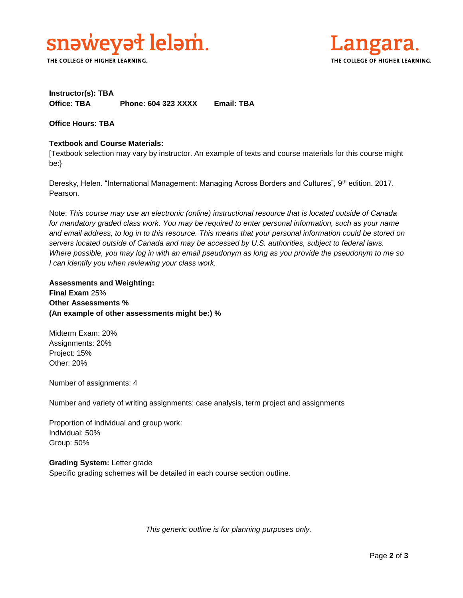

THE COLLEGE OF HIGHER LEARNING.



# **Instructor(s): TBA Office: TBA Phone: 604 323 XXXX Email: TBA**

**Office Hours: TBA** 

### **Textbook and Course Materials:**

[Textbook selection may vary by instructor. An example of texts and course materials for this course might be:}

Deresky, Helen. "International Management: Managing Across Borders and Cultures", 9th edition. 2017. Pearson.

Note: *This course may use an electronic (online) instructional resource that is located outside of Canada*  for mandatory graded class work. You may be required to enter personal information, such as your name *and email address, to log in to this resource. This means that your personal information could be stored on servers located outside of Canada and may be accessed by U.S. authorities, subject to federal laws. Where possible, you may log in with an email pseudonym as long as you provide the pseudonym to me so I can identify you when reviewing your class work.* 

**Assessments and Weighting: Final Exam** 25% **Other Assessments % (An example of other assessments might be:) %**

Midterm Exam: 20% Assignments: 20% Project: 15% Other: 20%

Number of assignments: 4

Number and variety of writing assignments: case analysis, term project and assignments

Proportion of individual and group work: Individual: 50% Group: 50%

**Grading System:** Letter grade Specific grading schemes will be detailed in each course section outline.

*This generic outline is for planning purposes only.*